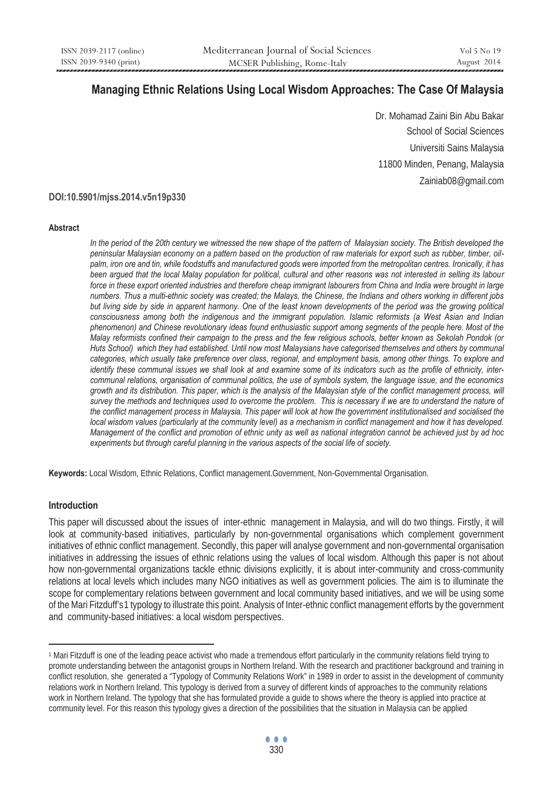# **Managing Ethnic Relations Using Local Wisdom Approaches: The Case Of Malaysia**

Dr. Mohamad Zaini Bin Abu Bakar School of Social Sciences Universiti Sains Malaysia 11800 Minden, Penang, Malaysia Zainiab08@gmail.com

# **DOI:10.5901/mjss.2014.v5n19p330**

#### **Abstract**

In the period of the 20th century we witnessed the new shape of the pattern of Malaysian society. The British developed the *peninsular Malaysian economy on a pattern based on the production of raw materials for export such as rubber, timber, oilpalm, iron ore and tin, while foodstuffs and manufactured goods were imported from the metropolitan centres. Ironically, it has been argued that the local Malay population for political, cultural and other reasons was not interested in selling its labour*  force in these export oriented industries and therefore cheap immigrant labourers from China and India were brought in large *numbers. Thus a multi-ethnic society was created; the Malays, the Chinese, the Indians and others working in different jobs but living side by side in apparent harmony. One of the least known developments of the period was the growing political consciousness among both the indigenous and the immigrant population. Islamic reformists (a West Asian and Indian phenomenon) and Chinese revolutionary ideas found enthusiastic support among segments of the people here. Most of the Malay reformists confined their campaign to the press and the few religious schools, better known as Sekolah Pondok (or Huts School)* which they had established. Until now most Malaysians have categorised themselves and others by communal *categories, which usually take preference over class, regional, and employment basis, among other things. To explore and identify these communal issues we shall look at and examine some of its indicators such as the profile of ethnicity, intercommunal relations, organisation of communal politics, the use of symbols system, the language issue, and the economics growth and its distribution. This paper, which is the analysis of the Malaysian style of the conflict management process, will survey the methods and techniques used to overcome the problem. This is necessary if we are to understand the nature of the conflict management process in Malaysia. This paper will look at how the government institutionalised and socialised the local wisdom values (particularly at the community level) as a mechanism in conflict management and how it has developed. Management of the conflict and promotion of ethnic unity as well as national integration cannot be achieved just by ad hoc experiments but through careful planning in the various aspects of the social life of society.* 

**Keywords:** Local Wisdom, Ethnic Relations, Conflict management.Government, Non-Governmental Organisation.

#### **Introduction**

 $\overline{a}$ 

This paper will discussed about the issues of inter-ethnic management in Malaysia, and will do two things. Firstly, it will look at community-based initiatives, particularly by non-governmental organisations which complement government initiatives of ethnic conflict management. Secondly, this paper will analyse government and non-governmental organisation initiatives in addressing the issues of ethnic relations using the values of local wisdom. Although this paper is not about how non-governmental organizations tackle ethnic divisions explicitly, it is about inter-community and cross-community relations at local levels which includes many NGO initiatives as well as government policies. The aim is to illuminate the scope for complementary relations between government and local community based initiatives, and we will be using some of the Mari Fitzduff's1 typology to illustrate this point. Analysis of Inter-ethnic conflict management efforts by the government and community-based initiatives: a local wisdom perspectives.

<sup>1</sup> Mari Fitzduff is one of the leading peace activist who made a tremendous effort particularly in the community relations field trying to promote understanding between the antagonist groups in Northern Ireland. With the research and practitioner background and training in conflict resolution, she generated a "Typology of Community Relations Work" in 1989 in order to assist in the development of community relations work in Northern Ireland. This typology is derived from a survey of different kinds of approaches to the community relations work in Northern Ireland. The typology that she has formulated provide a guide to shows where the theory is applied into practice at community level. For this reason this typology gives a direction of the possibilities that the situation in Malaysia can be applied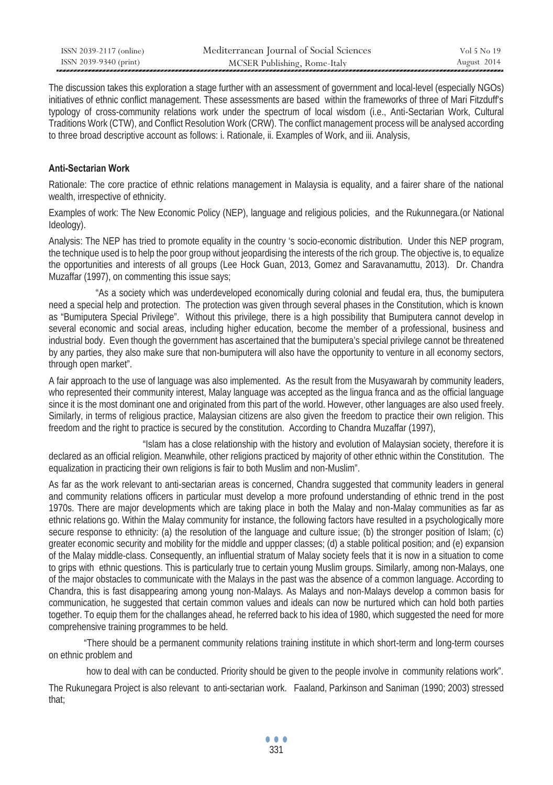| ISSN 2039-2117 (online) | Mediterranean Journal of Social Sciences | Vol 5 No 19 |
|-------------------------|------------------------------------------|-------------|
| ISSN 2039-9340 (print)  | MCSER Publishing, Rome-Italy             | August 2014 |

The discussion takes this exploration a stage further with an assessment of government and local-level (especially NGOs) initiatives of ethnic conflict management. These assessments are based within the frameworks of three of Mari Fitzduff's typology of cross-community relations work under the spectrum of local wisdom (i.e., Anti-Sectarian Work, Cultural Traditions Work (CTW), and Conflict Resolution Work (CRW). The conflict management process will be analysed according to three broad descriptive account as follows: i. Rationale, ii. Examples of Work, and iii. Analysis,

# **Anti-Sectarian Work**

Rationale: The core practice of ethnic relations management in Malaysia is equality, and a fairer share of the national wealth, irrespective of ethnicity.

Examples of work: The New Economic Policy (NEP), language and religious policies, and the Rukunnegara.(or National Ideology).

Analysis: The NEP has tried to promote equality in the country 's socio-economic distribution. Under this NEP program, the technique used is to help the poor group without jeopardising the interests of the rich group. The objective is, to equalize the opportunities and interests of all groups (Lee Hock Guan, 2013, Gomez and Saravanamuttu, 2013). Dr. Chandra Muzaffar (1997), on commenting this issue says;

 "As a society which was underdeveloped economically during colonial and feudal era, thus, the bumiputera need a special help and protection. The protection was given through several phases in the Constitution, which is known as "Bumiputera Special Privilege". Without this privilege, there is a high possibility that Bumiputera cannot develop in several economic and social areas, including higher education, become the member of a professional, business and industrial body. Even though the government has ascertained that the bumiputera's special privilege cannot be threatened by any parties, they also make sure that non-bumiputera will also have the opportunity to venture in all economy sectors, through open market".

A fair approach to the use of language was also implemented. As the result from the Musyawarah by community leaders, who represented their community interest, Malay language was accepted as the lingua franca and as the official language since it is the most dominant one and originated from this part of the world. However, other languages are also used freely. Similarly, in terms of religious practice, Malaysian citizens are also given the freedom to practice their own religion. This freedom and the right to practice is secured by the constitution. According to Chandra Muzaffar (1997),

 "Islam has a close relationship with the history and evolution of Malaysian society, therefore it is declared as an official religion. Meanwhile, other religions practiced by majority of other ethnic within the Constitution. The equalization in practicing their own religions is fair to both Muslim and non-Muslim".

As far as the work relevant to anti-sectarian areas is concerned, Chandra suggested that community leaders in general and community relations officers in particular must develop a more profound understanding of ethnic trend in the post 1970s. There are major developments which are taking place in both the Malay and non-Malay communities as far as ethnic relations go. Within the Malay community for instance, the following factors have resulted in a psychologically more secure response to ethnicity: (a) the resolution of the language and culture issue; (b) the stronger position of Islam; (c) greater economic security and mobility for the middle and uppper classes; (d) a stable political position; and (e) expansion of the Malay middle-class. Consequently, an influential stratum of Malay society feels that it is now in a situation to come to grips with ethnic questions. This is particularly true to certain young Muslim groups. Similarly, among non-Malays, one of the major obstacles to communicate with the Malays in the past was the absence of a common language. According to Chandra, this is fast disappearing among young non-Malays. As Malays and non-Malays develop a common basis for communication, he suggested that certain common values and ideals can now be nurtured which can hold both parties together. To equip them for the challanges ahead, he referred back to his idea of 1980, which suggested the need for more comprehensive training programmes to be held.

 "There should be a permanent community relations training institute in which short-term and long-term courses on ethnic problem and

how to deal with can be conducted. Priority should be given to the people involve in community relations work".

The Rukunegara Project is also relevant to anti-sectarian work. Faaland, Parkinson and Saniman (1990; 2003) stressed that;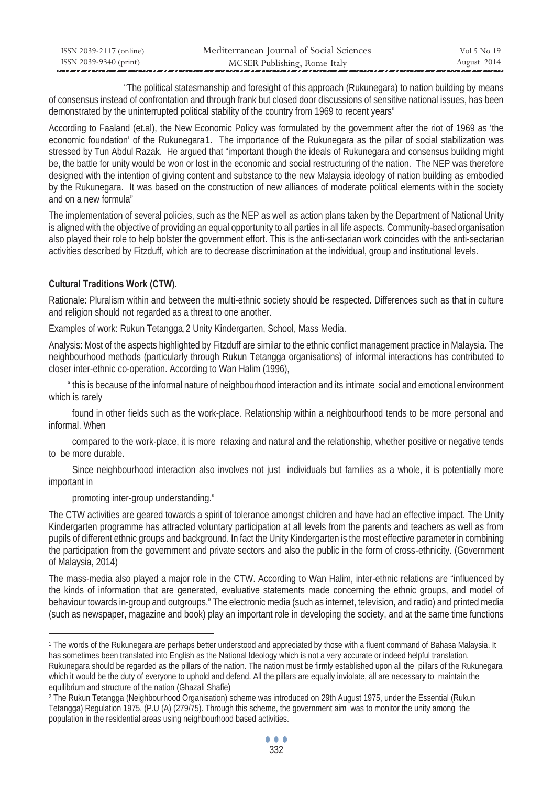| ISSN 2039-2117 (online) | Mediterranean Journal of Social Sciences | Vol 5 No 19 |
|-------------------------|------------------------------------------|-------------|
| ISSN 2039-9340 (print)  | MCSER Publishing, Rome-Italy             | August 2014 |

 "The political statesmanship and foresight of this approach (Rukunegara) to nation building by means of consensus instead of confrontation and through frank but closed door discussions of sensitive national issues, has been demonstrated by the uninterrupted political stability of the country from 1969 to recent years"

According to Faaland (et.al), the New Economic Policy was formulated by the government after the riot of 1969 as 'the economic foundation' of the Rukunegara1. The importance of the Rukunegara as the pillar of social stabilization was stressed by Tun Abdul Razak. He argued that "important though the ideals of Rukunegara and consensus building might be, the battle for unity would be won or lost in the economic and social restructuring of the nation. The NEP was therefore designed with the intention of giving content and substance to the new Malaysia ideology of nation building as embodied by the Rukunegara. It was based on the construction of new alliances of moderate political elements within the society and on a new formula"

The implementation of several policies, such as the NEP as well as action plans taken by the Department of National Unity is aligned with the objective of providing an equal opportunity to all parties in all life aspects. Community-based organisation also played their role to help bolster the government effort. This is the anti-sectarian work coincides with the anti-sectarian activities described by Fitzduff, which are to decrease discrimination at the individual, group and institutional levels.

# **Cultural Traditions Work (CTW).**

Rationale: Pluralism within and between the multi-ethnic society should be respected. Differences such as that in culture and religion should not regarded as a threat to one another.

Examples of work: Rukun Tetangga, 2 Unity Kindergarten, School, Mass Media.

Analysis: Most of the aspects highlighted by Fitzduff are similar to the ethnic conflict management practice in Malaysia. The neighbourhood methods (particularly through Rukun Tetangga organisations) of informal interactions has contributed to closer inter-ethnic co-operation. According to Wan Halim (1996),

 " this is because of the informal nature of neighbourhood interaction and its intimate social and emotional environment which is rarely

 found in other fields such as the work-place. Relationship within a neighbourhood tends to be more personal and informal. When

 compared to the work-place, it is more relaxing and natural and the relationship, whether positive or negative tends to be more durable.

 Since neighbourhood interaction also involves not just individuals but families as a whole, it is potentially more important in

promoting inter-group understanding."

 $\overline{a}$ 

The CTW activities are geared towards a spirit of tolerance amongst children and have had an effective impact. The Unity Kindergarten programme has attracted voluntary participation at all levels from the parents and teachers as well as from pupils of different ethnic groups and background. In fact the Unity Kindergarten is the most effective parameter in combining the participation from the government and private sectors and also the public in the form of cross-ethnicity. (Government of Malaysia, 2014)

The mass-media also played a major role in the CTW. According to Wan Halim, inter-ethnic relations are "influenced by the kinds of information that are generated, evaluative statements made concerning the ethnic groups, and model of behaviour towards in-group and outgroups." The electronic media (such as internet, television, and radio) and printed media (such as newspaper, magazine and book) play an important role in developing the society, and at the same time functions

<sup>1</sup> The words of the Rukunegara are perhaps better understood and appreciated by those with a fluent command of Bahasa Malaysia. It has sometimes been translated into English as the National Ideology which is not a very accurate or indeed helpful translation. Rukunegara should be regarded as the pillars of the nation. The nation must be firmly established upon all the pillars of the Rukunegara which it would be the duty of everyone to uphold and defend. All the pillars are equally inviolate, all are necessary to maintain the equilibrium and structure of the nation (Ghazali Shafie)<br><sup>2</sup> The Rukun Tetangga (Neighbourhood Organisation) scheme was introduced on 29th August 1975, under the Essential (Rukun

Tetangga) Regulation 1975, (P.U (A) (279/75). Through this scheme, the government aim was to monitor the unity among the population in the residential areas using neighbourhood based activities.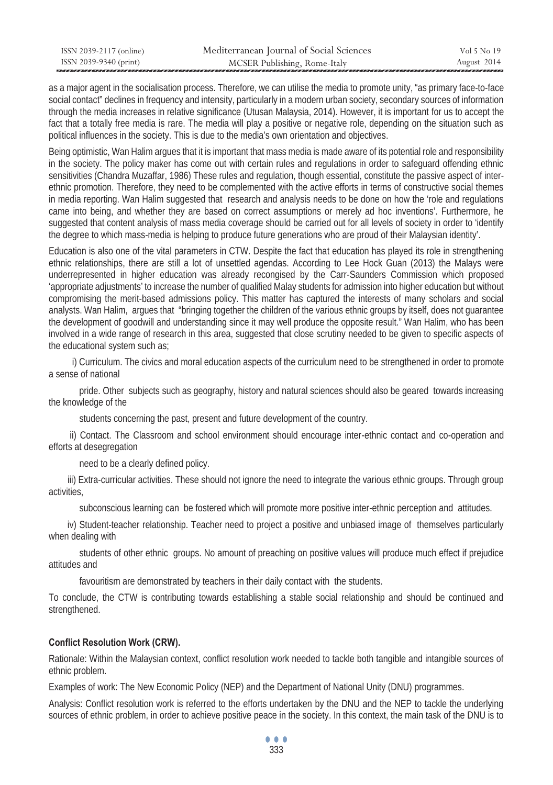| ISSN 2039-2117 (online) | Mediterranean Journal of Social Sciences | Vol 5 No 19 |
|-------------------------|------------------------------------------|-------------|
| ISSN 2039-9340 (print)  | MCSER Publishing, Rome-Italy             | August 2014 |

as a major agent in the socialisation process. Therefore, we can utilise the media to promote unity, "as primary face-to-face social contact" declines in frequency and intensity, particularly in a modern urban society, secondary sources of information through the media increases in relative significance (Utusan Malaysia, 2014). However, it is important for us to accept the fact that a totally free media is rare. The media will play a positive or negative role, depending on the situation such as political influences in the society. This is due to the media's own orientation and objectives.

Being optimistic, Wan Halim argues that it is important that mass media is made aware of its potential role and responsibility in the society. The policy maker has come out with certain rules and regulations in order to safeguard offending ethnic sensitivities (Chandra Muzaffar, 1986) These rules and regulation, though essential, constitute the passive aspect of interethnic promotion. Therefore, they need to be complemented with the active efforts in terms of constructive social themes in media reporting. Wan Halim suggested that research and analysis needs to be done on how the 'role and regulations came into being, and whether they are based on correct assumptions or merely ad hoc inventions'. Furthermore, he suggested that content analysis of mass media coverage should be carried out for all levels of society in order to 'identify the degree to which mass-media is helping to produce future generations who are proud of their Malaysian identity'.

Education is also one of the vital parameters in CTW. Despite the fact that education has played its role in strengthening ethnic relationships, there are still a lot of unsettled agendas. According to Lee Hock Guan (2013) the Malays were underrepresented in higher education was already recongised by the Carr-Saunders Commission which proposed 'appropriate adjustments' to increase the number of qualified Malay students for admission into higher education but without compromising the merit-based admissions policy. This matter has captured the interests of many scholars and social analysts. Wan Halim, argues that "bringing together the children of the various ethnic groups by itself, does not guarantee the development of goodwill and understanding since it may well produce the opposite result." Wan Halim, who has been involved in a wide range of research in this area, suggested that close scrutiny needed to be given to specific aspects of the educational system such as;

 i) Curriculum. The civics and moral education aspects of the curriculum need to be strengthened in order to promote a sense of national

 pride. Other subjects such as geography, history and natural sciences should also be geared towards increasing the knowledge of the

students concerning the past, present and future development of the country.

 ii) Contact. The Classroom and school environment should encourage inter-ethnic contact and co-operation and efforts at desegregation

need to be a clearly defined policy.

 iii) Extra-curricular activities. These should not ignore the need to integrate the various ethnic groups. Through group activities,

subconscious learning can be fostered which will promote more positive inter-ethnic perception and attitudes.

 iv) Student-teacher relationship. Teacher need to project a positive and unbiased image of themselves particularly when dealing with

 students of other ethnic groups. No amount of preaching on positive values will produce much effect if prejudice attitudes and

favouritism are demonstrated by teachers in their daily contact with the students.

To conclude, the CTW is contributing towards establishing a stable social relationship and should be continued and strengthened.

### **Conflict Resolution Work (CRW).**

Rationale: Within the Malaysian context, conflict resolution work needed to tackle both tangible and intangible sources of ethnic problem.

Examples of work: The New Economic Policy (NEP) and the Department of National Unity (DNU) programmes.

Analysis: Conflict resolution work is referred to the efforts undertaken by the DNU and the NEP to tackle the underlying sources of ethnic problem, in order to achieve positive peace in the society. In this context, the main task of the DNU is to

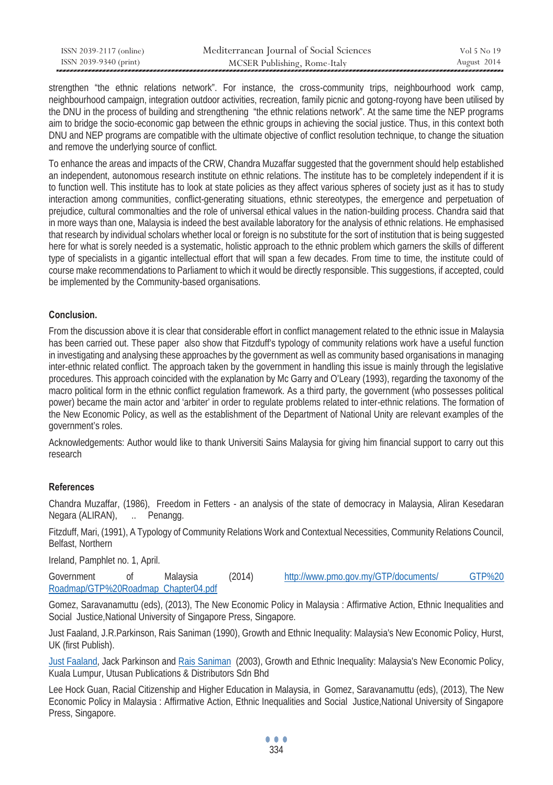| ISSN 2039-2117 (online) | Mediterranean Journal of Social Sciences | Vol 5 No 19 |
|-------------------------|------------------------------------------|-------------|
| ISSN 2039-9340 (print)  | MCSER Publishing, Rome-Italy             | August 2014 |

strengthen "the ethnic relations network". For instance, the cross-community trips, neighbourhood work camp, neighbourhood campaign, integration outdoor activities, recreation, family picnic and gotong-royong have been utilised by the DNU in the process of building and strengthening "the ethnic relations network". At the same time the NEP programs aim to bridge the socio-economic gap between the ethnic groups in achieving the social justice. Thus, in this context both DNU and NEP programs are compatible with the ultimate objective of conflict resolution technique, to change the situation and remove the underlying source of conflict.

To enhance the areas and impacts of the CRW, Chandra Muzaffar suggested that the government should help established an independent, autonomous research institute on ethnic relations. The institute has to be completely independent if it is to function well. This institute has to look at state policies as they affect various spheres of society just as it has to study interaction among communities, conflict-generating situations, ethnic stereotypes, the emergence and perpetuation of prejudice, cultural commonalties and the role of universal ethical values in the nation-building process. Chandra said that in more ways than one, Malaysia is indeed the best available laboratory for the analysis of ethnic relations. He emphasised that research by individual scholars whether local or foreign is no substitute for the sort of institution that is being suggested here for what is sorely needed is a systematic, holistic approach to the ethnic problem which garners the skills of different type of specialists in a gigantic intellectual effort that will span a few decades. From time to time, the institute could of course make recommendations to Parliament to which it would be directly responsible. This suggestions, if accepted, could be implemented by the Community-based organisations.

# **Conclusion.**

From the discussion above it is clear that considerable effort in conflict management related to the ethnic issue in Malaysia has been carried out. These paper also show that Fitzduff's typology of community relations work have a useful function in investigating and analysing these approaches by the government as well as community based organisations in managing inter-ethnic related conflict. The approach taken by the government in handling this issue is mainly through the legislative procedures. This approach coincided with the explanation by Mc Garry and O'Leary (1993), regarding the taxonomy of the macro political form in the ethnic conflict regulation framework. As a third party, the government (who possesses political power) became the main actor and 'arbiter' in order to regulate problems related to inter-ethnic relations. The formation of the New Economic Policy, as well as the establishment of the Department of National Unity are relevant examples of the government's roles.

Acknowledgements: Author would like to thank Universiti Sains Malaysia for giving him financial support to carry out this research

#### **References**

Chandra Muzaffar, (1986), Freedom in Fetters - an analysis of the state of democracy in Malaysia, Aliran Kesedaran Negara (ALIRAN), ... Penangg.

Fitzduff, Mari, (1991), A Typology of Community Relations Work and Contextual Necessities, Community Relations Council, Belfast, Northern

Ireland, Pamphlet no. 1, April.

Government of Malaysia (2014) http://www.pmo.gov.my/GTP/documents/ GTP%20 Roadmap/GTP%20Roadmap\_Chapter04.pdf

Gomez, Saravanamuttu (eds), (2013), The New Economic Policy in Malaysia : Affirmative Action, Ethnic Inequalities and Social Justice, National University of Singapore Press, Singapore.

Just Faaland, J.R.Parkinson, Rais Saniman (1990), Growth and Ethnic Inequality: Malaysia's New Economic Policy, Hurst, UK (first Publish).

Just Faaland, Jack Parkinson and Rais Saniman (2003), Growth and Ethnic Inequality: Malaysia's New Economic Policy, Kuala Lumpur, Utusan Publications & Distributors Sdn Bhd

Lee Hock Guan, Racial Citizenship and Higher Education in Malaysia, in Gomez, Saravanamuttu (eds), (2013), The New Economic Policy in Malaysia : Affirmative Action, Ethnic Inequalities and Social Justice,National University of Singapore Press, Singapore.